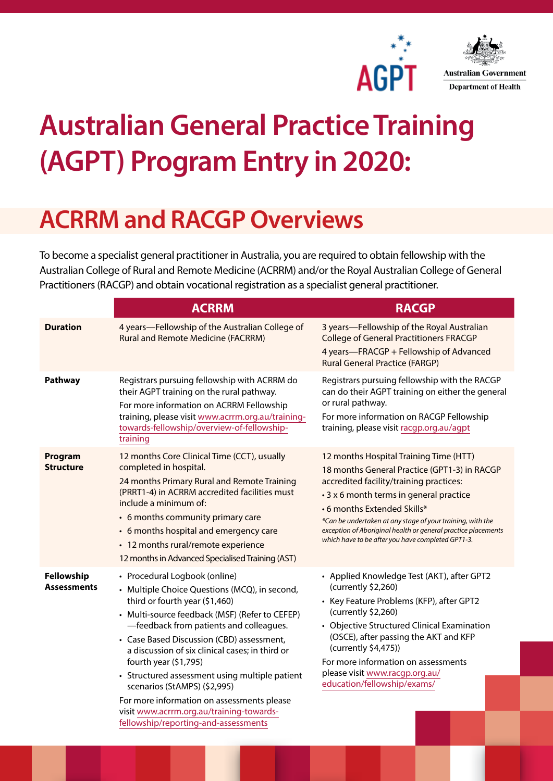



## **Australian General Practice Training (AGPT) Program Entry in 2020:**

## **ACRRM and RACGP Overviews**

To become a specialist general practitioner in Australia, you are required to obtain fellowship with the Australian College of Rural and Remote Medicine (ACRRM) and/or the Royal Australian College of General Practitioners (RACGP) and obtain vocational registration as a specialist general practitioner.

|                                  | <b>ACRRM</b>                                                                                                                                                                                                                                                                                                                                                                                                                                                                                                                                               | <b>RACGP</b>                                                                                                                                                                                                                                                                                                                                                                                   |
|----------------------------------|------------------------------------------------------------------------------------------------------------------------------------------------------------------------------------------------------------------------------------------------------------------------------------------------------------------------------------------------------------------------------------------------------------------------------------------------------------------------------------------------------------------------------------------------------------|------------------------------------------------------------------------------------------------------------------------------------------------------------------------------------------------------------------------------------------------------------------------------------------------------------------------------------------------------------------------------------------------|
| <b>Duration</b>                  | 4 years-Fellowship of the Australian College of<br><b>Rural and Remote Medicine (FACRRM)</b>                                                                                                                                                                                                                                                                                                                                                                                                                                                               | 3 years-Fellowship of the Royal Australian<br><b>College of General Practitioners FRACGP</b><br>4 years-FRACGP + Fellowship of Advanced<br><b>Rural General Practice (FARGP)</b>                                                                                                                                                                                                               |
| Pathway                          | Registrars pursuing fellowship with ACRRM do<br>their AGPT training on the rural pathway.<br>For more information on ACRRM Fellowship<br>training, please visit www.acrrm.org.au/training-<br>towards-fellowship/overview-of-fellowship-<br>training                                                                                                                                                                                                                                                                                                       | Registrars pursuing fellowship with the RACGP<br>can do their AGPT training on either the general<br>or rural pathway.<br>For more information on RACGP Fellowship<br>training, please visit racgp.org.au/agpt                                                                                                                                                                                 |
| Program<br><b>Structure</b>      | 12 months Core Clinical Time (CCT), usually<br>completed in hospital.<br>24 months Primary Rural and Remote Training<br>(PRRT1-4) in ACRRM accredited facilities must<br>include a minimum of:<br>• 6 months community primary care<br>• 6 months hospital and emergency care<br>• 12 months rural/remote experience<br>12 months in Advanced Specialised Training (AST)                                                                                                                                                                                   | 12 months Hospital Training Time (HTT)<br>18 months General Practice (GPT1-3) in RACGP<br>accredited facility/training practices:<br>• 3 x 6 month terms in general practice<br>•6 months Extended Skills*<br>*Can be undertaken at any stage of your training, with the<br>exception of Aboriginal health or general practice placements<br>which have to be after you have completed GPT1-3. |
| Fellowship<br><b>Assessments</b> | • Procedural Logbook (online)<br>• Multiple Choice Questions (MCQ), in second,<br>third or fourth year (\$1,460)<br>• Multi-source feedback (MSF) (Refer to CEFEP)<br>-feedback from patients and colleagues.<br>• Case Based Discussion (CBD) assessment,<br>a discussion of six clinical cases; in third or<br>fourth year (\$1,795)<br>• Structured assessment using multiple patient<br>scenarios (StAMPS) (\$2,995)<br>For more information on assessments please<br>visit www.acrrm.org.au/training-towards-<br>fellowship/reporting-and-assessments | • Applied Knowledge Test (AKT), after GPT2<br>(currently \$2,260)<br>• Key Feature Problems (KFP), after GPT2<br>(currently \$2,260)<br>• Objective Structured Clinical Examination<br>(OSCE), after passing the AKT and KFP<br>(currently \$4,475))<br>For more information on assessments<br>please visit www.racgp.org.au/<br>education/fellowship/exams/                                   |